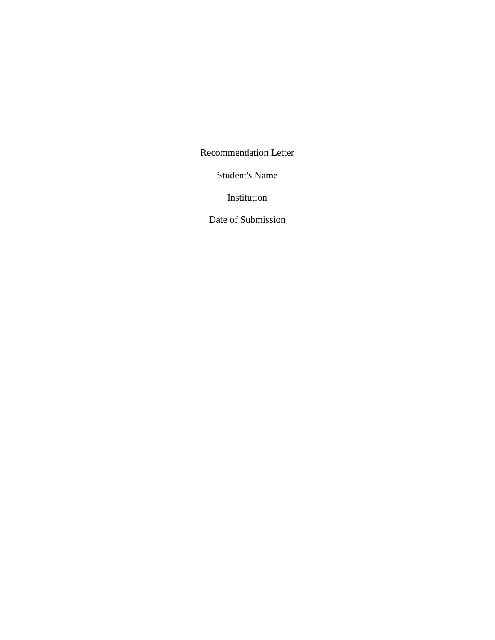Recommendation Letter

Student's Name

Institution

Date of Submission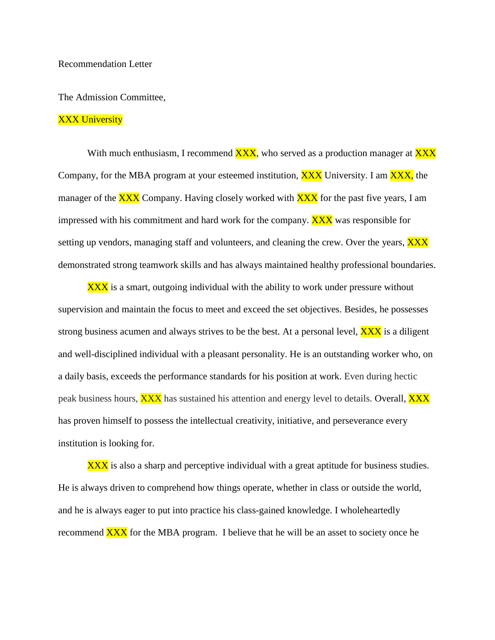The Admission Committee,

## XXX University

With much enthusiasm, I recommend  $\overline{XXX}$ , who served as a production manager at  $\overline{XXX}$ Company, for the MBA program at your esteemed institution, **XXX** University. I am **XXX**, the manager of the **XXX** Company. Having closely worked with **XXX** for the past five years, I am impressed with his commitment and hard work for the company.  $\overline{XXX}$  was responsible for setting up vendors, managing staff and volunteers, and cleaning the crew. Over the years, **XXX** demonstrated strong teamwork skills and has always maintained healthy professional boundaries.

**XXX** is a smart, outgoing individual with the ability to work under pressure without supervision and maintain the focus to meet and exceed the set objectives. Besides, he possesses strong business acumen and always strives to be the best. At a personal level,  $\overline{XXX}$  is a diligent and well-disciplined individual with a pleasant personality. He is an outstanding worker who, on a daily basis, exceeds the performance standards for his position at work. Even during hectic peak business hours, **XXX** has sustained his attention and energy level to details. Overall, **XXX** has proven himself to possess the intellectual creativity, initiative, and perseverance every institution is looking for.

XXX is also a sharp and perceptive individual with a great aptitude for business studies. He is always driven to comprehend how things operate, whether in class or outside the world, and he is always eager to put into practice his class-gained knowledge. I wholeheartedly recommend  $\overline{XXX}$  for the MBA program. I believe that he will be an asset to society once he